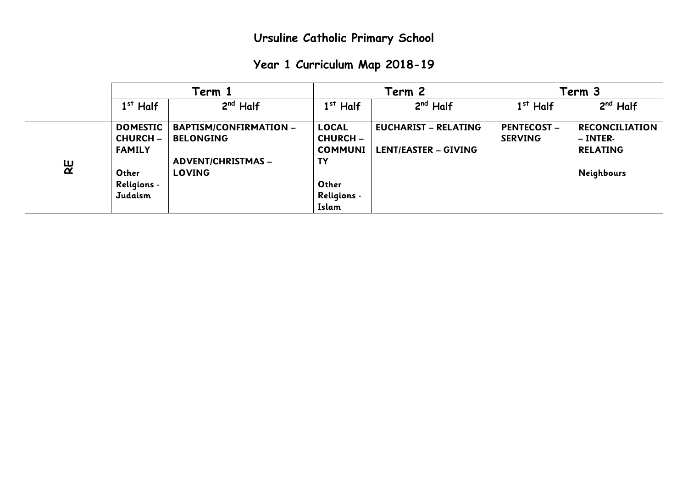|  | Year 1 Curriculum Map 2018-19 |  |  |  |
|--|-------------------------------|--|--|--|
|--|-------------------------------|--|--|--|

|   |                    | Term 1                        |                    | Term 2                      |                    | Term 3                |  |
|---|--------------------|-------------------------------|--------------------|-----------------------------|--------------------|-----------------------|--|
|   | $1st$ Half         | $2nd$ Half                    | $1st$ Half         | $2nd$ Half                  | $1st$ Half         | $2nd$ Half            |  |
|   | <b>DOMESTIC</b>    | <b>BAPTISM/CONFIRMATION -</b> | <b>LOCAL</b>       | <b>EUCHARIST - RELATING</b> | <b>PENTECOST -</b> | <b>RECONCILIATION</b> |  |
|   | <b>CHURCH -</b>    | <b>BELONGING</b>              | <b>CHURCH -</b>    |                             | <b>SERVING</b>     | – INTER-              |  |
|   | <b>FAMILY</b>      |                               | <b>COMMUNI</b>     | <b>LENT/EASTER - GIVING</b> |                    | <b>RELATING</b>       |  |
|   |                    | <b>ADVENT/CHRISTMAS -</b>     | <b>TY</b>          |                             |                    |                       |  |
| 잁 | Other              | <b>LOVING</b>                 |                    |                             |                    | Neighbours            |  |
|   | <b>Religions -</b> |                               | Other              |                             |                    |                       |  |
|   | Judaism            |                               | <b>Religions -</b> |                             |                    |                       |  |
|   |                    |                               | Islam              |                             |                    |                       |  |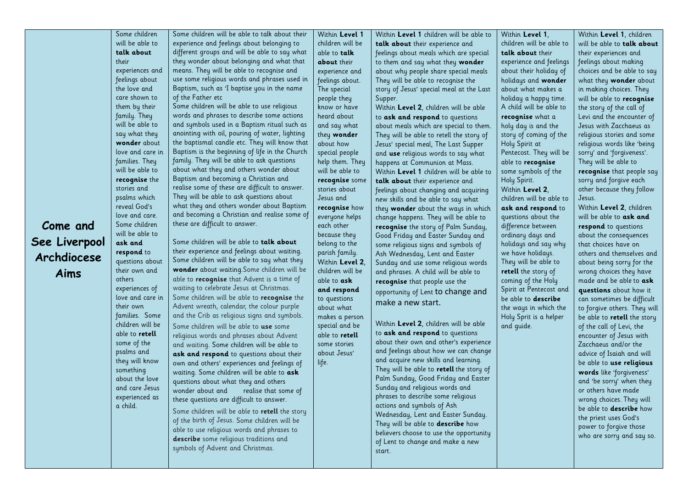|               | Some children                      | Some children will be able to talk about their                                         | Within Level 1               | Within Level 1 children will be able to  | Within Level 1,            | Within Level 1, children                        |
|---------------|------------------------------------|----------------------------------------------------------------------------------------|------------------------------|------------------------------------------|----------------------------|-------------------------------------------------|
|               | will be able to                    | experience and feelings about belonging to                                             | children will be             | talk about their experience and          | children will be able to   | will be able to talk about                      |
|               | talk about                         | different groups and will be able to say what                                          | able to talk                 | feelings about meals which are special   | talk about their           | their experiences and                           |
|               | their                              | they wonder about belonging and what that                                              | about their                  | to them and say what they wonder         | experience and feelings    | feelings about making                           |
|               | experiences and                    | means. They will be able to recognise and                                              | experience and               | about why people share special meals     | about their holiday of     | choices and be able to say                      |
|               | feelings about                     | use some religious words and phrases used in                                           | feelings about.              | They will be able to recognise the       | holidays and wonder        | what they wonder about                          |
|               | the love and                       | Baptism, such as 'I baptise you in the name                                            | The special                  | story of Jesus' special meal at the Last | about what makes a         | in making choices. They                         |
|               | care shown to                      | of the Father etc                                                                      | people they                  | Supper.                                  | holiday a happy time.      | will be able to recognise                       |
|               | them by their                      | Some children will be able to use religious                                            | know or have                 | Within Level 2, children will be able    | A child will be able to    | the story of the call of                        |
|               | family. They                       | words and phrases to describe some actions                                             | heard about                  | to ask and respond to questions          | recognise what a           | Levi and the encounter of                       |
|               | will be able to                    | and symbols used in a Baptism ritual such as                                           | and say what                 | about meals which are special to them.   | holy day is and the        | Jesus with Zacchaeus as                         |
|               | say what they                      | anointing with oil, pouring of water, lighting                                         | they wonder                  | They will be able to retell the story of | story of coming of the     | religious stories and some                      |
|               | wonder about                       | the baptismal candle etc. They will know that                                          | about how                    | Jesus' special meal, The Last Supper     | Holy Spirit at             | religious words like 'being                     |
|               | love and care in                   | Baptism is the beginning of life in the Church                                         | special people               | and use religious words to say what      | Pentecost. They will be    | sorry' and 'forgiveness'.                       |
|               | families. They                     | family. They will be able to ask questions                                             | help them. They              | happens at Communion at Mass.            | able to recognise          | They will be able to                            |
|               | will be able to                    | about what they and others wonder about                                                | will be able to              | Within Level 1 children will be able to  | some symbols of the        | recognise that people say                       |
|               | recognise the                      | Baptism and becoming a Christian and                                                   | recognise some               | talk about their experience and          | Holy Spirit.               | sorry and forgive each                          |
|               | stories and                        | realise some of these are difficult to answer.                                         | stories about                | feelings about changing and acquiring    | Within Level 2,            | other because they follow                       |
|               | psalms which                       | They will be able to ask questions about                                               | Jesus and                    | new skills and be able to say what       | children will be able to   | Jesus.                                          |
|               | reveal God's                       | what they and others wonder about Baptism                                              | recognise how                | they wonder about the ways in which      | ask and respond to         | Within Level 2, children                        |
|               | love and care.                     | and becoming a Christian and realise some of                                           | everyone helps               | change happens. They will be able to     | questions about the        | will be able to ask and                         |
| Come and      | Some children                      | these are difficult to answer.                                                         | each other                   | recognise the story of Palm Sunday,      | difference between         | respond to questions                            |
|               | will be able to                    |                                                                                        | because they                 | Good Friday and Easter Sunday and        | ordinary days and          | about the consequences                          |
| See Liverpool | ask and                            | Some children will be able to talk about                                               | belong to the                | some religious signs and symbols of      | holidays and say why       | that choices have on                            |
| Archdiocese   | respond to                         | their experience and feelings about waiting.                                           | parish family.               | Ash Wednesday, Lent and Easter           | we have holidays.          | others and themselves and                       |
|               | questions about                    | Some children will be able to say what they                                            | Within Level 2,              | Sunday and use some religious words      | They will be able to       | about being sorry for the                       |
| Aims          | their own and                      | wonder about waiting.Some children will be                                             | children will be             | and phrases. A child will be able to     | retell the story of        | wrong choices they have                         |
|               | others                             | able to recognise that Advent is a time of<br>waiting to celebrate Jesus at Christmas. | able to ask                  | recognise that people use the            | coming of the Holy         | made and be able to ask                         |
|               | experiences of<br>love and care in | Some children will be able to recognise the                                            | and respond                  | opportunity of Lent to change and        | Spirit at Pentecost and    | questions about how it                          |
|               | their own                          | Advent wreath, calendar, the colour purple                                             | to questions                 | make a new start.                        | be able to <b>describe</b> | can sometimes be difficult                      |
|               | families. Some                     | and the Crib as religious signs and symbols.                                           | about what                   |                                          | the ways in which the      | to forgive others. They will                    |
|               | children will be                   |                                                                                        | makes a person               | Within Level 2, children will be able    | Holy Sprit is a helper     | be able to retell the story                     |
|               | able to <b>retell</b>              | Some children will be able to use some                                                 | special and be               | to ask and respond to questions          | and guide.                 | of the call of Levi, the                        |
|               | some of the                        | religious words and phrases about Advent                                               | able to retell               | about their own and other's experience   |                            | encounter of Jesus with<br>Zacchaeus and/or the |
|               | psalms and                         | and waiting. Some children will be able to                                             | some stories<br>about Jesus' | and feelings about how we can change     |                            |                                                 |
|               | they will know                     | ask and respond to questions about their                                               |                              | and acquire new skills and learning.     |                            | advice of Isaiah and will                       |
|               | something                          | own and others' experiences and feelings of                                            | life.                        | They will be able to retell the story of |                            | be able to use religious                        |
|               | about the love                     | waiting. Some children will be able to ask                                             |                              | Palm Sunday, Good Friday and Easter      |                            | words like 'forgiveness'                        |
|               | and care Jesus                     | questions about what they and others                                                   |                              | Sunday and religious words and           |                            | and 'be sorry' when they                        |
|               | experienced as                     | wonder about and<br>realise that some of                                               |                              | phrases to describe some religious       |                            | or others have made                             |
|               | a child.                           | these questions are difficult to answer.                                               |                              | actions and symbols of Ash               |                            | wrong choices. They will                        |
|               |                                    | Some children will be able to retell the story                                         |                              | Wednesday, Lent and Easter Sunday.       |                            | be able to <b>describe</b> how                  |
|               |                                    | of the birth of Jesus Some children will be                                            |                              |                                          |                            | the priest uses God's                           |

They will be able to **describe** how believers choose to use the opportunity of Lent to change and make a new

power to forgive those who are sorry and say so.

start.

Some children will be able to **retell** the story of the birth of Jesus. Some children will be able to use religious words and phrases to **describe** some religious traditions and symbols of Advent and Christmas.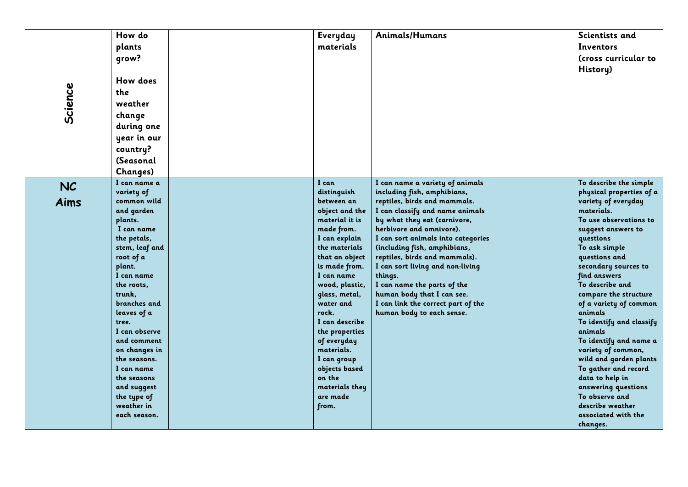|         | How do                        | Everyday                       | Animals/Humans                                                     | Scientists and                         |
|---------|-------------------------------|--------------------------------|--------------------------------------------------------------------|----------------------------------------|
|         | plants                        | materials                      |                                                                    | Inventors                              |
|         | qrow?                         |                                |                                                                    | (cross curricular to                   |
|         |                               |                                |                                                                    |                                        |
|         |                               |                                |                                                                    | History)                               |
|         | How does                      |                                |                                                                    |                                        |
|         | the                           |                                |                                                                    |                                        |
|         | weather                       |                                |                                                                    |                                        |
| Science | change                        |                                |                                                                    |                                        |
|         | during one                    |                                |                                                                    |                                        |
|         | year in our                   |                                |                                                                    |                                        |
|         |                               |                                |                                                                    |                                        |
|         | country?                      |                                |                                                                    |                                        |
|         | (Seasonal                     |                                |                                                                    |                                        |
|         | Changes)                      |                                |                                                                    |                                        |
| NC      | I can name a                  | I can                          | I can name a variety of animals                                    | To describe the simple                 |
|         | variety of                    | distinguish                    | including fish, amphibians,                                        | physical properties of a               |
| Aims    | common wild                   | between an                     | reptiles, birds and mammals.                                       | variety of everyday                    |
|         | and garden                    | object and the                 | I can classify and name animals                                    | materials.                             |
|         | plants.                       | material it is                 | by what they eat (carnivore,                                       | To use observations to                 |
|         | I can name                    | made from.                     | herbivore and omnivore).                                           | suggest answers to                     |
|         | the petals,<br>stem, leaf and | I can explain<br>the materials | I can sort animals into categories<br>(including fish, amphibians, | questions<br>To ask simple             |
|         | root of a                     | that an object                 | reptiles, birds and mammals).                                      | questions and                          |
|         | plant.                        | is made from.                  | I can sort living and non-living                                   | secondary sources to                   |
|         | I can name                    | I can name                     | things.                                                            | find answers                           |
|         | the roots,                    | wood, plastic,                 | I can name the parts of the                                        | To describe and                        |
|         | trunk,                        | glass, metal,                  | human body that I can see.                                         | compare the structure                  |
|         | branches and                  | water and                      | I can link the correct part of the                                 | of a variety of common                 |
|         | leaves of a                   | rock.                          | human body to each sense.                                          | animals                                |
|         | tree.                         | I can describe                 |                                                                    | To identify and classify               |
|         | I can observe                 | the properties                 |                                                                    | animals                                |
|         | and comment                   | of everyday                    |                                                                    | To identify and name a                 |
|         | on changes in                 | materials.                     |                                                                    | variety of common,                     |
|         | the seasons.                  | I can group                    |                                                                    | wild and garden plants                 |
|         | I can name                    | objects based<br>on the        |                                                                    | To gather and record                   |
|         | the seasons<br>and suggest    | materials they                 |                                                                    | data to help in<br>answering questions |
|         | the type of                   | are made                       |                                                                    | To observe and                         |
|         | weather in                    | from.                          |                                                                    | describe weather                       |
|         | each season.                  |                                |                                                                    | associated with the                    |
|         |                               |                                |                                                                    | changes.                               |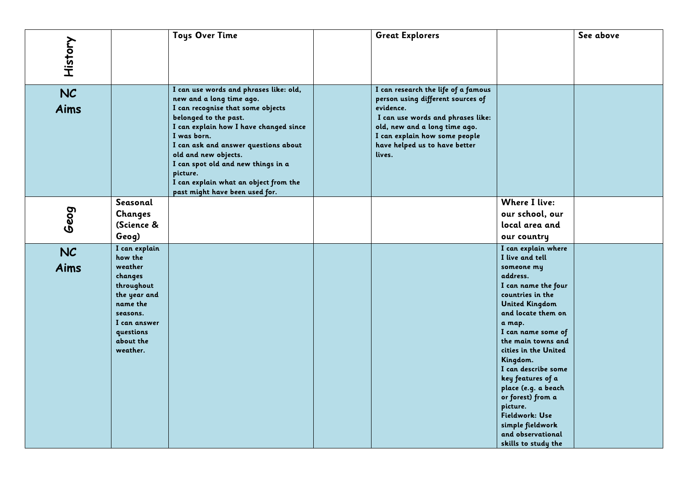| History    |                                                                                                                                                            | <b>Toys Over Time</b>                                                                                                                                                                                                                                                                                                                                                                  | <b>Great Explorers</b>                                                                                                                                                                                                                  |                                                                                                                                                                                                                                                                                                                                                                                                                                            | See above |
|------------|------------------------------------------------------------------------------------------------------------------------------------------------------------|----------------------------------------------------------------------------------------------------------------------------------------------------------------------------------------------------------------------------------------------------------------------------------------------------------------------------------------------------------------------------------------|-----------------------------------------------------------------------------------------------------------------------------------------------------------------------------------------------------------------------------------------|--------------------------------------------------------------------------------------------------------------------------------------------------------------------------------------------------------------------------------------------------------------------------------------------------------------------------------------------------------------------------------------------------------------------------------------------|-----------|
| NC<br>Aims |                                                                                                                                                            | I can use words and phrases like: old,<br>new and a long time ago.<br>I can recognise that some objects<br>belonged to the past.<br>I can explain how I have changed since<br>I was born.<br>I can ask and answer questions about<br>old and new objects.<br>I can spot old and new things in a<br>picture.<br>I can explain what an object from the<br>past might have been used for. | I can research the life of a famous<br>person using different sources of<br>evidence.<br>I can use words and phrases like:<br>old, new and a long time ago.<br>I can explain how some people<br>have helped us to have better<br>lives. |                                                                                                                                                                                                                                                                                                                                                                                                                                            |           |
| Geog       | Seasonal<br><b>Changes</b><br>(Science &<br>Geog)                                                                                                          |                                                                                                                                                                                                                                                                                                                                                                                        |                                                                                                                                                                                                                                         | <b>Where I live:</b><br>our school, our<br>local area and<br>our country                                                                                                                                                                                                                                                                                                                                                                   |           |
| NC<br>Aims | I can explain<br>how the<br>weather<br>changes<br>throughout<br>the year and<br>name the<br>seasons.<br>I can answer<br>questions<br>about the<br>weather. |                                                                                                                                                                                                                                                                                                                                                                                        |                                                                                                                                                                                                                                         | I can explain where<br>I live and tell<br>someone my<br>address.<br>I can name the four<br>countries in the<br><b>United Kingdom</b><br>and locate them on<br>a map.<br>I can name some of<br>the main towns and<br>cities in the United<br>Kingdom.<br>I can describe some<br>key features of a<br>place (e.g. a beach<br>or forest) from a<br>picture.<br>Fieldwork: Use<br>simple fieldwork<br>and observational<br>skills to study the |           |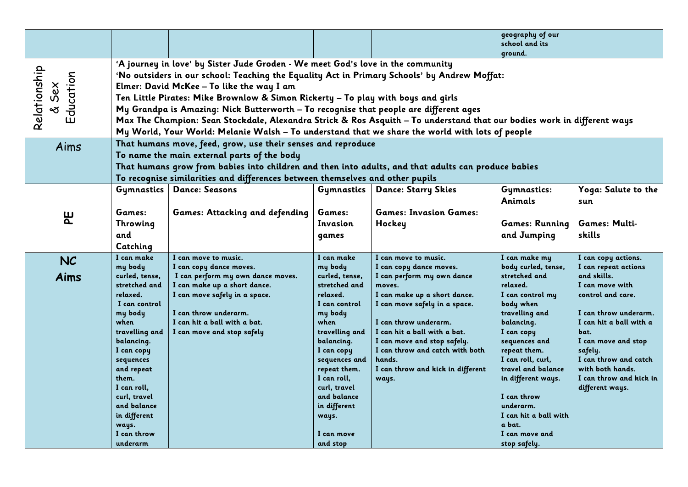| 'A journey in love' by Sister Jude Groden - We meet God's love in the community<br>Relationship<br>Education<br>'No outsiders in our school: Teaching the Equality Act in Primary Schools' by Andrew Moffat:<br>& Sex<br>Elmer: David McKee - To like the way I am<br>Ten Little Pirates: Mike Brownlow & Simon Rickerty - To play with boys and girls<br>My Grandpa is Amazing: Nick Butterworth - To recognise that people are different ages<br>Max The Champion: Sean Stockdale, Alexandra Strick & Ros Asquith - To understand that our bodies work in different ways<br>My World, Your World: Melanie Walsh - To understand that we share the world with lots of people<br>That humans move, feed, grow, use their senses and reproduce<br>Aims<br>To name the main external parts of the body<br>That humans grow from babies into children and then into adults, and that adults can produce babies<br>To recognise similarities and differences between themselves and other pupils<br><b>Dance: Starry Skies</b><br>Gymnastics   Dance: Seasons<br>Gymnastics<br>Gymnastics:<br>Animals<br>sun<br>Games:<br><b>Games: Invasion Games:</b><br><b>Games: Attacking and defending</b><br>Games:<br>۳<br>Games: Multi-<br><b>Games: Running</b><br>Throwing<br>Invasion<br>Hockey<br>skills<br>and<br>and Jumping<br>games<br>Catching<br>I can make<br>I can move to music.<br>I can make<br>I can move to music.<br>I can make my<br>I can copy actions.<br><b>NC</b><br>body curled, tense,<br>I can repeat actions<br>my body<br>I can copy dance moves.<br>my body<br>I can copy dance moves.<br>Aims<br>stretched and<br>and skills.<br>curled, tense,<br>I can perform my own dance moves.<br>curled, tense,<br>I can perform my own dance<br>stretched and<br>I can make up a short dance.<br>stretched and<br>relaxed.<br>I can move with<br>moves.<br>I can move safely in a space.<br>relaxed.<br>I can make up a short dance.<br>I can control my<br>control and care.<br>relaxed.<br>I can control<br>I can move safely in a space.<br>body when<br>I can control<br>I can throw underarm.<br>travelling and<br>my body<br>my body<br>I can hit a ball with a bat.<br>I can throw underarm.<br>balancing.<br>I can hit a ball with a<br>when<br>when<br>I can hit a ball with a bat.<br>travelling and<br>I can move and stop safely<br>travelling and<br>I can copy<br>bat.<br>I can move and stop safely.<br>sequences and<br>I can move and stop<br>balancing.<br>balancing.<br>I can throw and catch with both<br>repeat them.<br>I can copy<br>I can copy<br>safely.<br>hands.<br>I can roll, curl,<br>sequences and<br>sequences<br>travel and balance<br>with both hands.<br>repeat them.<br>I can throw and kick in different<br>and repeat<br>I can roll,<br>them.<br>ways.<br>in different ways.<br>I can roll.<br>curl, travel<br>different ways.<br>curl, travel<br>and balance<br>I can throw<br>underarm.<br>and balance<br>in different<br>in different<br>I can hit a ball with<br>ways.<br>a bat.<br>ways. |  |  |  |  | geography of our<br>school and its |                         |  |  |
|------------------------------------------------------------------------------------------------------------------------------------------------------------------------------------------------------------------------------------------------------------------------------------------------------------------------------------------------------------------------------------------------------------------------------------------------------------------------------------------------------------------------------------------------------------------------------------------------------------------------------------------------------------------------------------------------------------------------------------------------------------------------------------------------------------------------------------------------------------------------------------------------------------------------------------------------------------------------------------------------------------------------------------------------------------------------------------------------------------------------------------------------------------------------------------------------------------------------------------------------------------------------------------------------------------------------------------------------------------------------------------------------------------------------------------------------------------------------------------------------------------------------------------------------------------------------------------------------------------------------------------------------------------------------------------------------------------------------------------------------------------------------------------------------------------------------------------------------------------------------------------------------------------------------------------------------------------------------------------------------------------------------------------------------------------------------------------------------------------------------------------------------------------------------------------------------------------------------------------------------------------------------------------------------------------------------------------------------------------------------------------------------------------------------------------------------------------------------------------------------------------------------------------------------------------------------------------------------------------------------------------------------------------------------------------------------------------------------------------------------------------------------------------------------------------------------------------------------------------------------------------------------------------------------------------------------------------------------------------------------------------------------------------------------|--|--|--|--|------------------------------------|-------------------------|--|--|
|                                                                                                                                                                                                                                                                                                                                                                                                                                                                                                                                                                                                                                                                                                                                                                                                                                                                                                                                                                                                                                                                                                                                                                                                                                                                                                                                                                                                                                                                                                                                                                                                                                                                                                                                                                                                                                                                                                                                                                                                                                                                                                                                                                                                                                                                                                                                                                                                                                                                                                                                                                                                                                                                                                                                                                                                                                                                                                                                                                                                                                                |  |  |  |  | ground.                            |                         |  |  |
|                                                                                                                                                                                                                                                                                                                                                                                                                                                                                                                                                                                                                                                                                                                                                                                                                                                                                                                                                                                                                                                                                                                                                                                                                                                                                                                                                                                                                                                                                                                                                                                                                                                                                                                                                                                                                                                                                                                                                                                                                                                                                                                                                                                                                                                                                                                                                                                                                                                                                                                                                                                                                                                                                                                                                                                                                                                                                                                                                                                                                                                |  |  |  |  |                                    |                         |  |  |
|                                                                                                                                                                                                                                                                                                                                                                                                                                                                                                                                                                                                                                                                                                                                                                                                                                                                                                                                                                                                                                                                                                                                                                                                                                                                                                                                                                                                                                                                                                                                                                                                                                                                                                                                                                                                                                                                                                                                                                                                                                                                                                                                                                                                                                                                                                                                                                                                                                                                                                                                                                                                                                                                                                                                                                                                                                                                                                                                                                                                                                                |  |  |  |  |                                    |                         |  |  |
|                                                                                                                                                                                                                                                                                                                                                                                                                                                                                                                                                                                                                                                                                                                                                                                                                                                                                                                                                                                                                                                                                                                                                                                                                                                                                                                                                                                                                                                                                                                                                                                                                                                                                                                                                                                                                                                                                                                                                                                                                                                                                                                                                                                                                                                                                                                                                                                                                                                                                                                                                                                                                                                                                                                                                                                                                                                                                                                                                                                                                                                |  |  |  |  |                                    |                         |  |  |
|                                                                                                                                                                                                                                                                                                                                                                                                                                                                                                                                                                                                                                                                                                                                                                                                                                                                                                                                                                                                                                                                                                                                                                                                                                                                                                                                                                                                                                                                                                                                                                                                                                                                                                                                                                                                                                                                                                                                                                                                                                                                                                                                                                                                                                                                                                                                                                                                                                                                                                                                                                                                                                                                                                                                                                                                                                                                                                                                                                                                                                                |  |  |  |  |                                    |                         |  |  |
|                                                                                                                                                                                                                                                                                                                                                                                                                                                                                                                                                                                                                                                                                                                                                                                                                                                                                                                                                                                                                                                                                                                                                                                                                                                                                                                                                                                                                                                                                                                                                                                                                                                                                                                                                                                                                                                                                                                                                                                                                                                                                                                                                                                                                                                                                                                                                                                                                                                                                                                                                                                                                                                                                                                                                                                                                                                                                                                                                                                                                                                |  |  |  |  |                                    |                         |  |  |
|                                                                                                                                                                                                                                                                                                                                                                                                                                                                                                                                                                                                                                                                                                                                                                                                                                                                                                                                                                                                                                                                                                                                                                                                                                                                                                                                                                                                                                                                                                                                                                                                                                                                                                                                                                                                                                                                                                                                                                                                                                                                                                                                                                                                                                                                                                                                                                                                                                                                                                                                                                                                                                                                                                                                                                                                                                                                                                                                                                                                                                                |  |  |  |  |                                    |                         |  |  |
|                                                                                                                                                                                                                                                                                                                                                                                                                                                                                                                                                                                                                                                                                                                                                                                                                                                                                                                                                                                                                                                                                                                                                                                                                                                                                                                                                                                                                                                                                                                                                                                                                                                                                                                                                                                                                                                                                                                                                                                                                                                                                                                                                                                                                                                                                                                                                                                                                                                                                                                                                                                                                                                                                                                                                                                                                                                                                                                                                                                                                                                |  |  |  |  |                                    |                         |  |  |
|                                                                                                                                                                                                                                                                                                                                                                                                                                                                                                                                                                                                                                                                                                                                                                                                                                                                                                                                                                                                                                                                                                                                                                                                                                                                                                                                                                                                                                                                                                                                                                                                                                                                                                                                                                                                                                                                                                                                                                                                                                                                                                                                                                                                                                                                                                                                                                                                                                                                                                                                                                                                                                                                                                                                                                                                                                                                                                                                                                                                                                                |  |  |  |  |                                    |                         |  |  |
|                                                                                                                                                                                                                                                                                                                                                                                                                                                                                                                                                                                                                                                                                                                                                                                                                                                                                                                                                                                                                                                                                                                                                                                                                                                                                                                                                                                                                                                                                                                                                                                                                                                                                                                                                                                                                                                                                                                                                                                                                                                                                                                                                                                                                                                                                                                                                                                                                                                                                                                                                                                                                                                                                                                                                                                                                                                                                                                                                                                                                                                |  |  |  |  |                                    |                         |  |  |
|                                                                                                                                                                                                                                                                                                                                                                                                                                                                                                                                                                                                                                                                                                                                                                                                                                                                                                                                                                                                                                                                                                                                                                                                                                                                                                                                                                                                                                                                                                                                                                                                                                                                                                                                                                                                                                                                                                                                                                                                                                                                                                                                                                                                                                                                                                                                                                                                                                                                                                                                                                                                                                                                                                                                                                                                                                                                                                                                                                                                                                                |  |  |  |  |                                    |                         |  |  |
|                                                                                                                                                                                                                                                                                                                                                                                                                                                                                                                                                                                                                                                                                                                                                                                                                                                                                                                                                                                                                                                                                                                                                                                                                                                                                                                                                                                                                                                                                                                                                                                                                                                                                                                                                                                                                                                                                                                                                                                                                                                                                                                                                                                                                                                                                                                                                                                                                                                                                                                                                                                                                                                                                                                                                                                                                                                                                                                                                                                                                                                |  |  |  |  |                                    |                         |  |  |
|                                                                                                                                                                                                                                                                                                                                                                                                                                                                                                                                                                                                                                                                                                                                                                                                                                                                                                                                                                                                                                                                                                                                                                                                                                                                                                                                                                                                                                                                                                                                                                                                                                                                                                                                                                                                                                                                                                                                                                                                                                                                                                                                                                                                                                                                                                                                                                                                                                                                                                                                                                                                                                                                                                                                                                                                                                                                                                                                                                                                                                                |  |  |  |  |                                    |                         |  |  |
|                                                                                                                                                                                                                                                                                                                                                                                                                                                                                                                                                                                                                                                                                                                                                                                                                                                                                                                                                                                                                                                                                                                                                                                                                                                                                                                                                                                                                                                                                                                                                                                                                                                                                                                                                                                                                                                                                                                                                                                                                                                                                                                                                                                                                                                                                                                                                                                                                                                                                                                                                                                                                                                                                                                                                                                                                                                                                                                                                                                                                                                |  |  |  |  |                                    | Yoga: Salute to the     |  |  |
|                                                                                                                                                                                                                                                                                                                                                                                                                                                                                                                                                                                                                                                                                                                                                                                                                                                                                                                                                                                                                                                                                                                                                                                                                                                                                                                                                                                                                                                                                                                                                                                                                                                                                                                                                                                                                                                                                                                                                                                                                                                                                                                                                                                                                                                                                                                                                                                                                                                                                                                                                                                                                                                                                                                                                                                                                                                                                                                                                                                                                                                |  |  |  |  |                                    |                         |  |  |
|                                                                                                                                                                                                                                                                                                                                                                                                                                                                                                                                                                                                                                                                                                                                                                                                                                                                                                                                                                                                                                                                                                                                                                                                                                                                                                                                                                                                                                                                                                                                                                                                                                                                                                                                                                                                                                                                                                                                                                                                                                                                                                                                                                                                                                                                                                                                                                                                                                                                                                                                                                                                                                                                                                                                                                                                                                                                                                                                                                                                                                                |  |  |  |  |                                    |                         |  |  |
|                                                                                                                                                                                                                                                                                                                                                                                                                                                                                                                                                                                                                                                                                                                                                                                                                                                                                                                                                                                                                                                                                                                                                                                                                                                                                                                                                                                                                                                                                                                                                                                                                                                                                                                                                                                                                                                                                                                                                                                                                                                                                                                                                                                                                                                                                                                                                                                                                                                                                                                                                                                                                                                                                                                                                                                                                                                                                                                                                                                                                                                |  |  |  |  |                                    |                         |  |  |
|                                                                                                                                                                                                                                                                                                                                                                                                                                                                                                                                                                                                                                                                                                                                                                                                                                                                                                                                                                                                                                                                                                                                                                                                                                                                                                                                                                                                                                                                                                                                                                                                                                                                                                                                                                                                                                                                                                                                                                                                                                                                                                                                                                                                                                                                                                                                                                                                                                                                                                                                                                                                                                                                                                                                                                                                                                                                                                                                                                                                                                                |  |  |  |  |                                    |                         |  |  |
|                                                                                                                                                                                                                                                                                                                                                                                                                                                                                                                                                                                                                                                                                                                                                                                                                                                                                                                                                                                                                                                                                                                                                                                                                                                                                                                                                                                                                                                                                                                                                                                                                                                                                                                                                                                                                                                                                                                                                                                                                                                                                                                                                                                                                                                                                                                                                                                                                                                                                                                                                                                                                                                                                                                                                                                                                                                                                                                                                                                                                                                |  |  |  |  |                                    |                         |  |  |
|                                                                                                                                                                                                                                                                                                                                                                                                                                                                                                                                                                                                                                                                                                                                                                                                                                                                                                                                                                                                                                                                                                                                                                                                                                                                                                                                                                                                                                                                                                                                                                                                                                                                                                                                                                                                                                                                                                                                                                                                                                                                                                                                                                                                                                                                                                                                                                                                                                                                                                                                                                                                                                                                                                                                                                                                                                                                                                                                                                                                                                                |  |  |  |  |                                    |                         |  |  |
|                                                                                                                                                                                                                                                                                                                                                                                                                                                                                                                                                                                                                                                                                                                                                                                                                                                                                                                                                                                                                                                                                                                                                                                                                                                                                                                                                                                                                                                                                                                                                                                                                                                                                                                                                                                                                                                                                                                                                                                                                                                                                                                                                                                                                                                                                                                                                                                                                                                                                                                                                                                                                                                                                                                                                                                                                                                                                                                                                                                                                                                |  |  |  |  |                                    |                         |  |  |
|                                                                                                                                                                                                                                                                                                                                                                                                                                                                                                                                                                                                                                                                                                                                                                                                                                                                                                                                                                                                                                                                                                                                                                                                                                                                                                                                                                                                                                                                                                                                                                                                                                                                                                                                                                                                                                                                                                                                                                                                                                                                                                                                                                                                                                                                                                                                                                                                                                                                                                                                                                                                                                                                                                                                                                                                                                                                                                                                                                                                                                                |  |  |  |  |                                    |                         |  |  |
|                                                                                                                                                                                                                                                                                                                                                                                                                                                                                                                                                                                                                                                                                                                                                                                                                                                                                                                                                                                                                                                                                                                                                                                                                                                                                                                                                                                                                                                                                                                                                                                                                                                                                                                                                                                                                                                                                                                                                                                                                                                                                                                                                                                                                                                                                                                                                                                                                                                                                                                                                                                                                                                                                                                                                                                                                                                                                                                                                                                                                                                |  |  |  |  |                                    |                         |  |  |
|                                                                                                                                                                                                                                                                                                                                                                                                                                                                                                                                                                                                                                                                                                                                                                                                                                                                                                                                                                                                                                                                                                                                                                                                                                                                                                                                                                                                                                                                                                                                                                                                                                                                                                                                                                                                                                                                                                                                                                                                                                                                                                                                                                                                                                                                                                                                                                                                                                                                                                                                                                                                                                                                                                                                                                                                                                                                                                                                                                                                                                                |  |  |  |  |                                    |                         |  |  |
|                                                                                                                                                                                                                                                                                                                                                                                                                                                                                                                                                                                                                                                                                                                                                                                                                                                                                                                                                                                                                                                                                                                                                                                                                                                                                                                                                                                                                                                                                                                                                                                                                                                                                                                                                                                                                                                                                                                                                                                                                                                                                                                                                                                                                                                                                                                                                                                                                                                                                                                                                                                                                                                                                                                                                                                                                                                                                                                                                                                                                                                |  |  |  |  |                                    |                         |  |  |
|                                                                                                                                                                                                                                                                                                                                                                                                                                                                                                                                                                                                                                                                                                                                                                                                                                                                                                                                                                                                                                                                                                                                                                                                                                                                                                                                                                                                                                                                                                                                                                                                                                                                                                                                                                                                                                                                                                                                                                                                                                                                                                                                                                                                                                                                                                                                                                                                                                                                                                                                                                                                                                                                                                                                                                                                                                                                                                                                                                                                                                                |  |  |  |  |                                    | I can throw underarm.   |  |  |
|                                                                                                                                                                                                                                                                                                                                                                                                                                                                                                                                                                                                                                                                                                                                                                                                                                                                                                                                                                                                                                                                                                                                                                                                                                                                                                                                                                                                                                                                                                                                                                                                                                                                                                                                                                                                                                                                                                                                                                                                                                                                                                                                                                                                                                                                                                                                                                                                                                                                                                                                                                                                                                                                                                                                                                                                                                                                                                                                                                                                                                                |  |  |  |  |                                    |                         |  |  |
|                                                                                                                                                                                                                                                                                                                                                                                                                                                                                                                                                                                                                                                                                                                                                                                                                                                                                                                                                                                                                                                                                                                                                                                                                                                                                                                                                                                                                                                                                                                                                                                                                                                                                                                                                                                                                                                                                                                                                                                                                                                                                                                                                                                                                                                                                                                                                                                                                                                                                                                                                                                                                                                                                                                                                                                                                                                                                                                                                                                                                                                |  |  |  |  |                                    |                         |  |  |
|                                                                                                                                                                                                                                                                                                                                                                                                                                                                                                                                                                                                                                                                                                                                                                                                                                                                                                                                                                                                                                                                                                                                                                                                                                                                                                                                                                                                                                                                                                                                                                                                                                                                                                                                                                                                                                                                                                                                                                                                                                                                                                                                                                                                                                                                                                                                                                                                                                                                                                                                                                                                                                                                                                                                                                                                                                                                                                                                                                                                                                                |  |  |  |  |                                    |                         |  |  |
|                                                                                                                                                                                                                                                                                                                                                                                                                                                                                                                                                                                                                                                                                                                                                                                                                                                                                                                                                                                                                                                                                                                                                                                                                                                                                                                                                                                                                                                                                                                                                                                                                                                                                                                                                                                                                                                                                                                                                                                                                                                                                                                                                                                                                                                                                                                                                                                                                                                                                                                                                                                                                                                                                                                                                                                                                                                                                                                                                                                                                                                |  |  |  |  |                                    | I can throw and catch   |  |  |
|                                                                                                                                                                                                                                                                                                                                                                                                                                                                                                                                                                                                                                                                                                                                                                                                                                                                                                                                                                                                                                                                                                                                                                                                                                                                                                                                                                                                                                                                                                                                                                                                                                                                                                                                                                                                                                                                                                                                                                                                                                                                                                                                                                                                                                                                                                                                                                                                                                                                                                                                                                                                                                                                                                                                                                                                                                                                                                                                                                                                                                                |  |  |  |  |                                    |                         |  |  |
|                                                                                                                                                                                                                                                                                                                                                                                                                                                                                                                                                                                                                                                                                                                                                                                                                                                                                                                                                                                                                                                                                                                                                                                                                                                                                                                                                                                                                                                                                                                                                                                                                                                                                                                                                                                                                                                                                                                                                                                                                                                                                                                                                                                                                                                                                                                                                                                                                                                                                                                                                                                                                                                                                                                                                                                                                                                                                                                                                                                                                                                |  |  |  |  |                                    | I can throw and kick in |  |  |
|                                                                                                                                                                                                                                                                                                                                                                                                                                                                                                                                                                                                                                                                                                                                                                                                                                                                                                                                                                                                                                                                                                                                                                                                                                                                                                                                                                                                                                                                                                                                                                                                                                                                                                                                                                                                                                                                                                                                                                                                                                                                                                                                                                                                                                                                                                                                                                                                                                                                                                                                                                                                                                                                                                                                                                                                                                                                                                                                                                                                                                                |  |  |  |  |                                    |                         |  |  |
|                                                                                                                                                                                                                                                                                                                                                                                                                                                                                                                                                                                                                                                                                                                                                                                                                                                                                                                                                                                                                                                                                                                                                                                                                                                                                                                                                                                                                                                                                                                                                                                                                                                                                                                                                                                                                                                                                                                                                                                                                                                                                                                                                                                                                                                                                                                                                                                                                                                                                                                                                                                                                                                                                                                                                                                                                                                                                                                                                                                                                                                |  |  |  |  |                                    |                         |  |  |
|                                                                                                                                                                                                                                                                                                                                                                                                                                                                                                                                                                                                                                                                                                                                                                                                                                                                                                                                                                                                                                                                                                                                                                                                                                                                                                                                                                                                                                                                                                                                                                                                                                                                                                                                                                                                                                                                                                                                                                                                                                                                                                                                                                                                                                                                                                                                                                                                                                                                                                                                                                                                                                                                                                                                                                                                                                                                                                                                                                                                                                                |  |  |  |  |                                    |                         |  |  |
|                                                                                                                                                                                                                                                                                                                                                                                                                                                                                                                                                                                                                                                                                                                                                                                                                                                                                                                                                                                                                                                                                                                                                                                                                                                                                                                                                                                                                                                                                                                                                                                                                                                                                                                                                                                                                                                                                                                                                                                                                                                                                                                                                                                                                                                                                                                                                                                                                                                                                                                                                                                                                                                                                                                                                                                                                                                                                                                                                                                                                                                |  |  |  |  |                                    |                         |  |  |
|                                                                                                                                                                                                                                                                                                                                                                                                                                                                                                                                                                                                                                                                                                                                                                                                                                                                                                                                                                                                                                                                                                                                                                                                                                                                                                                                                                                                                                                                                                                                                                                                                                                                                                                                                                                                                                                                                                                                                                                                                                                                                                                                                                                                                                                                                                                                                                                                                                                                                                                                                                                                                                                                                                                                                                                                                                                                                                                                                                                                                                                |  |  |  |  |                                    |                         |  |  |
| and stop<br>stop safely.<br>underarm                                                                                                                                                                                                                                                                                                                                                                                                                                                                                                                                                                                                                                                                                                                                                                                                                                                                                                                                                                                                                                                                                                                                                                                                                                                                                                                                                                                                                                                                                                                                                                                                                                                                                                                                                                                                                                                                                                                                                                                                                                                                                                                                                                                                                                                                                                                                                                                                                                                                                                                                                                                                                                                                                                                                                                                                                                                                                                                                                                                                           |  |  |  |  |                                    |                         |  |  |
| I can throw<br>I can move<br>I can move and                                                                                                                                                                                                                                                                                                                                                                                                                                                                                                                                                                                                                                                                                                                                                                                                                                                                                                                                                                                                                                                                                                                                                                                                                                                                                                                                                                                                                                                                                                                                                                                                                                                                                                                                                                                                                                                                                                                                                                                                                                                                                                                                                                                                                                                                                                                                                                                                                                                                                                                                                                                                                                                                                                                                                                                                                                                                                                                                                                                                    |  |  |  |  |                                    |                         |  |  |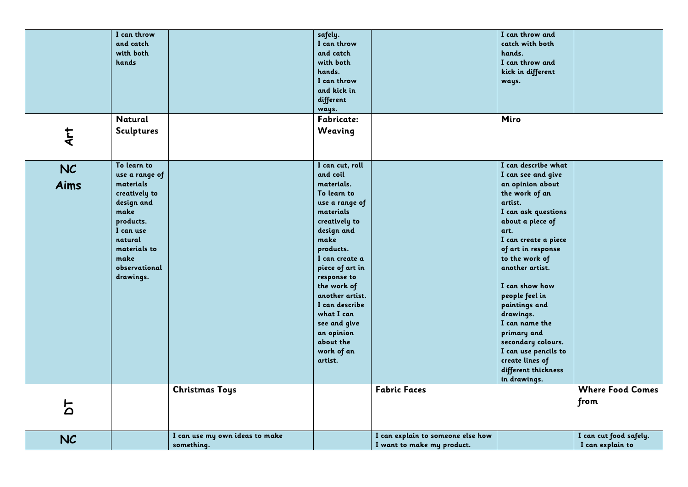|             | I can throw       |                                | safely.         |                                   | I can throw and      |                         |
|-------------|-------------------|--------------------------------|-----------------|-----------------------------------|----------------------|-------------------------|
|             | and catch         |                                | I can throw     |                                   | catch with both      |                         |
|             | with both         |                                | and catch       |                                   | hands.               |                         |
|             | hands             |                                | with both       |                                   | I can throw and      |                         |
|             |                   |                                | hands.          |                                   | kick in different    |                         |
|             |                   |                                | I can throw     |                                   | ways.                |                         |
|             |                   |                                | and kick in     |                                   |                      |                         |
|             |                   |                                | different       |                                   |                      |                         |
|             |                   |                                |                 |                                   |                      |                         |
|             |                   |                                | ways.           |                                   |                      |                         |
|             | <b>Natural</b>    |                                | Fabricate:      |                                   | Miro                 |                         |
| Art         | <b>Sculptures</b> |                                | Weaving         |                                   |                      |                         |
|             |                   |                                |                 |                                   |                      |                         |
|             |                   |                                |                 |                                   |                      |                         |
|             |                   |                                |                 |                                   |                      |                         |
| <b>NC</b>   | To learn to       |                                | I can cut, roll |                                   | I can describe what  |                         |
|             | use a range of    |                                | and coil        |                                   | I can see and give   |                         |
| <b>Aims</b> | materials         |                                | materials.      |                                   | an opinion about     |                         |
|             | creatively to     |                                | To learn to     |                                   | the work of an       |                         |
|             | design and        |                                | use a range of  |                                   | artist.              |                         |
|             | make              |                                | materials       |                                   | I can ask questions  |                         |
|             | products.         |                                | creatively to   |                                   | about a piece of     |                         |
|             | I can use         |                                | design and      |                                   | art.                 |                         |
|             | natural           |                                | make            |                                   | I can create a piece |                         |
|             | materials to      |                                | products.       |                                   | of art in response   |                         |
|             | make              |                                | I can create a  |                                   | to the work of       |                         |
|             | observational     |                                |                 |                                   | another artist.      |                         |
|             |                   |                                | piece of art in |                                   |                      |                         |
|             | drawings.         |                                | response to     |                                   |                      |                         |
|             |                   |                                | the work of     |                                   | I can show how       |                         |
|             |                   |                                | another artist. |                                   | people feel in       |                         |
|             |                   |                                | I can describe  |                                   | paintings and        |                         |
|             |                   |                                | what I can      |                                   | drawings.            |                         |
|             |                   |                                | see and give    |                                   | I can name the       |                         |
|             |                   |                                | an opinion      |                                   | primary and          |                         |
|             |                   |                                | about the       |                                   | secondary colours.   |                         |
|             |                   |                                | work of an      |                                   | I can use pencils to |                         |
|             |                   |                                | artist.         |                                   | create lines of      |                         |
|             |                   |                                |                 |                                   | different thickness  |                         |
|             |                   |                                |                 |                                   | in drawings.         |                         |
|             |                   | <b>Christmas Toys</b>          |                 | <b>Fabric Faces</b>               |                      | <b>Where Food Comes</b> |
|             |                   |                                |                 |                                   |                      |                         |
| 5           |                   |                                |                 |                                   |                      | from                    |
|             |                   |                                |                 |                                   |                      |                         |
|             |                   |                                |                 |                                   |                      |                         |
|             |                   | I can use my own ideas to make |                 | I can explain to someone else how |                      | I can cut food safely.  |
| <b>NC</b>   |                   | something.                     |                 | I want to make my product.        |                      | I can explain to        |
|             |                   |                                |                 |                                   |                      |                         |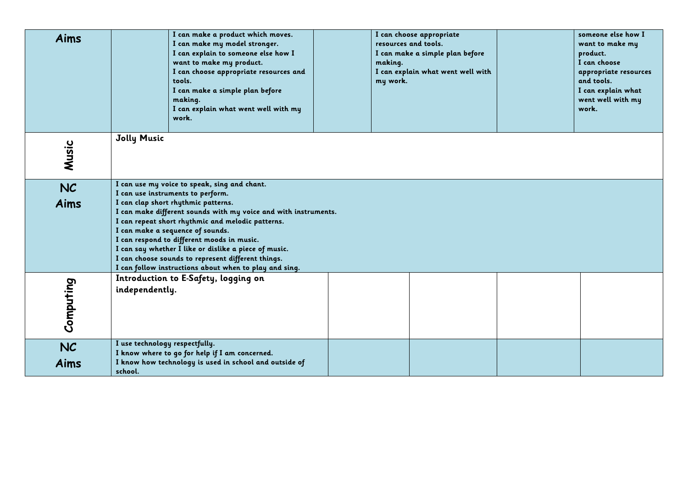| Aims       | I can make a product which moves.<br>I can make my model stronger.<br>I can explain to someone else how I<br>want to make my product.<br>I can choose appropriate resources and<br>tools.<br>I can make a simple plan before<br>making.<br>I can explain what went well with my<br>work.                                                                                                                                                          | I can choose appropriate<br>resources and tools.<br>I can make a simple plan before<br>making.<br>I can explain what went well with<br>my work. | someone else how I<br>want to make my<br>product.<br>I can choose<br>appropriate resources<br>and tools.<br>I can explain what<br>went well with my<br>work. |  |  |  |  |
|------------|---------------------------------------------------------------------------------------------------------------------------------------------------------------------------------------------------------------------------------------------------------------------------------------------------------------------------------------------------------------------------------------------------------------------------------------------------|-------------------------------------------------------------------------------------------------------------------------------------------------|--------------------------------------------------------------------------------------------------------------------------------------------------------------|--|--|--|--|
| Music      | <b>Jolly Music</b>                                                                                                                                                                                                                                                                                                                                                                                                                                |                                                                                                                                                 |                                                                                                                                                              |  |  |  |  |
| NC<br>Aims | I can use my voice to speak, sing and chant.<br>I can use instruments to perform.<br>I can clap short rhythmic patterns.<br>I can make different sounds with my voice and with instruments.<br>I can repeat short rhythmic and melodic patterns.<br>I can make a sequence of sounds.<br>I can respond to different moods in music.<br>I can say whether I like or dislike a piece of music.<br>I can choose sounds to represent different things. |                                                                                                                                                 |                                                                                                                                                              |  |  |  |  |
| Computing  | I can follow instructions about when to play and sing.<br>Introduction to E-Safety, logging on<br>independently.                                                                                                                                                                                                                                                                                                                                  |                                                                                                                                                 |                                                                                                                                                              |  |  |  |  |
| NC<br>Aims | I use technology respectfully.<br>I know where to go for help if I am concerned.<br>I know how technology is used in school and outside of<br>school.                                                                                                                                                                                                                                                                                             |                                                                                                                                                 |                                                                                                                                                              |  |  |  |  |